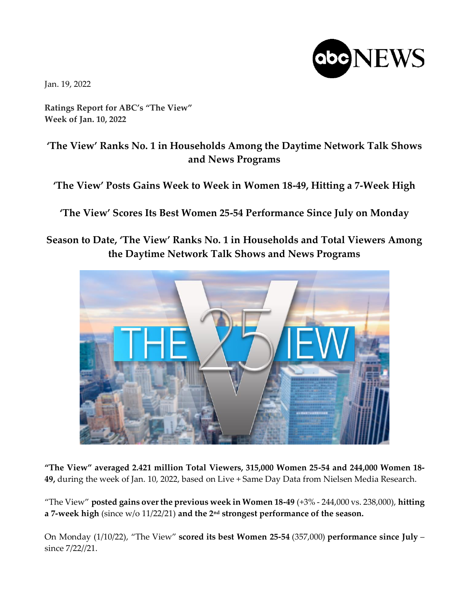

Jan. 19, 2022

**Ratings Report for ABC's "The View" Week of Jan. 10, 2022**

## **'The View' Ranks No. 1 in Households Among the Daytime Network Talk Shows and News Programs**

**'The View' Posts Gains Week to Week in Women 18-49, Hitting a 7-Week High**

**'The View' Scores Its Best Women 25-54 Performance Since July on Monday**

## **Season to Date, 'The View' Ranks No. 1 in Households and Total Viewers Among the Daytime Network Talk Shows and News Programs**



**"The View" averaged 2.421 million Total Viewers, 315,000 Women 25-54 and 244,000 Women 18- 49,** during the week of Jan. 10, 2022, based on Live + Same Day Data from Nielsen Media Research.

"The View" **posted gains over the previous week in Women 18-49** (+3% - 244,000 vs. 238,000), **hitting a 7-week high** (since w/o 11/22/21) **and the 2nd strongest performance of the season.**

On Monday (1/10/22), "The View" **scored its best Women 25-54** (357,000) **performance since July** – since 7/22//21.